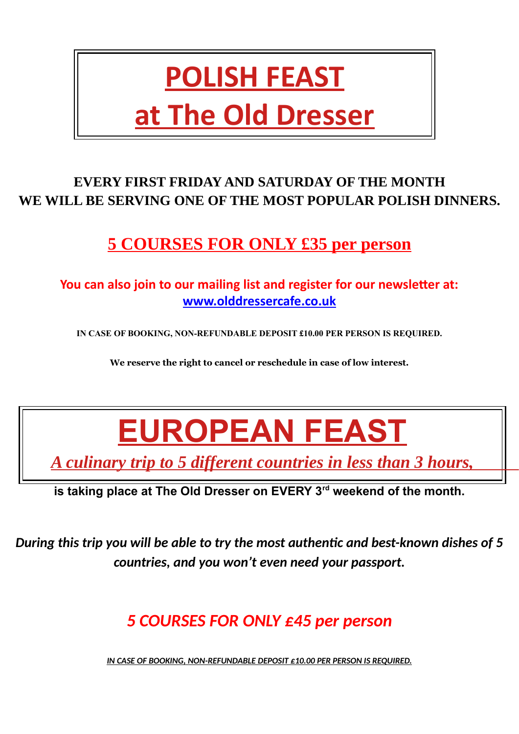## **POLISH FEAST at The Old Dresser**

#### **EVERY FIRST FRIDAY AND SATURDAY OF THE MONTH WE WILL BE SERVING ONE OF THE MOST POPULAR POLISH DINNERS.**

## **5 COURSES FOR ONLY £35 per person**

#### **You can also join to our mailing list and register for our newsletter at: [www.olddressercafe.co.uk](http://www.olddressercafe.co.uk/?fbclid=IwAR3KPEh7iczs5Zwrqmv0C_2EPbz_QjvRtEazXN_1TT0lLjT9SIigoQozZiU)**

**IN CASE OF BOOKING, NON-REFUNDABLE DEPOSIT £10.00 PER PERSON IS REQUIRED.**

**We reserve the right to cancel or reschedule in case of low interest.**

## **EUROPEAN FEAST**

 *A culinary trip to 5 different countries in less than 3 hours,* 

**is taking place at The Old Dresser on EVERY 3rd weekend of the month.**

*During this trip you will be able to try the most authentic and best-known dishes of 5 countries, and you won't even need your passport.*

## *5 COURSES FOR ONLY £45 per person*

 *IN CASE OF BOOKING, NON-REFUNDABLE DEPOSIT £10.00 PER PERSON IS REQUIRED.*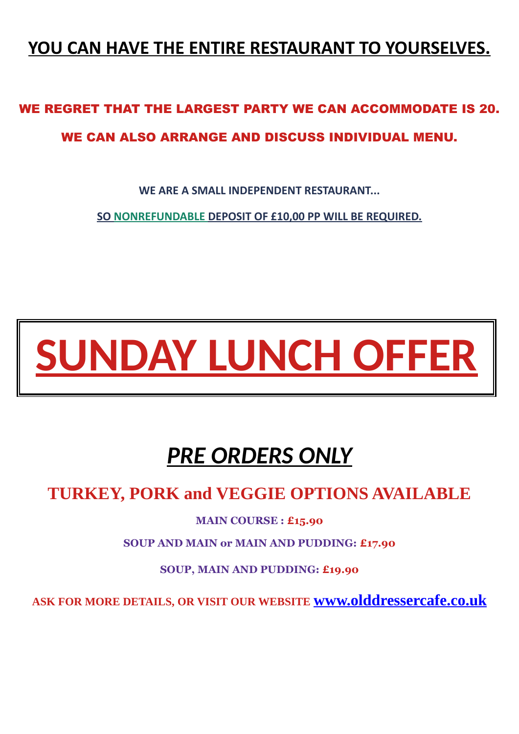### **YOU CAN HAVE THE ENTIRE RESTAURANT TO YOURSELVES.**

## WE REGRET THAT THE LARGEST PARTY WE CAN ACCOMMODATE IS 20. WE CAN ALSO ARRANGE AND DISCUSS INDIVIDUAL MENU.

**WE ARE A SMALL INDEPENDENT RESTAURANT...** 

 **SO NONREFUNDABLE DEPOSIT OF £10,00 PP WILL BE REQUIRED.**

# **SUNDAY LUNCH OFFER**

## *PRE ORDERS ONLY*

### **TURKEY, PORK and VEGGIE OPTIONS AVAILABLE**

**MAIN COURSE : £15.90** 

**SOUP AND MAIN or MAIN AND PUDDING: £17.90**

**SOUP, MAIN AND PUDDING: £19.90** 

**ASK FOR MORE DETAILS, OR VISIT OUR WEBSITE [www.olddressercafe.co.uk](http://www.olddressercafe.co.uk/)**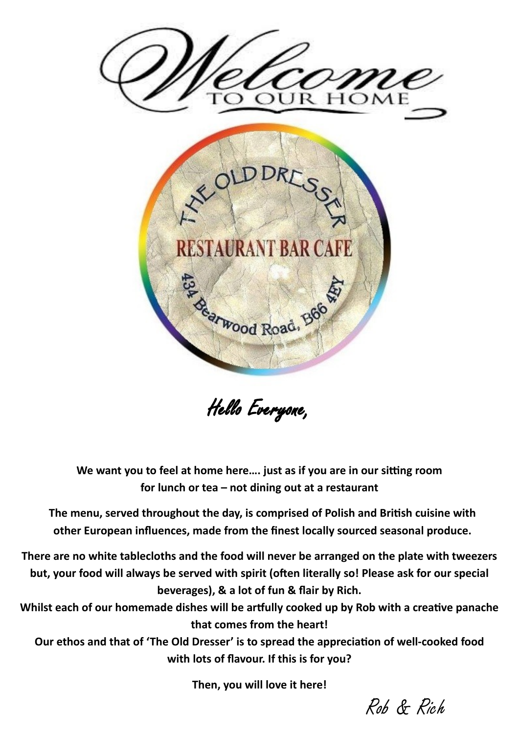

Hello Everyone,

**We want you to feel at home here…. just as if you are in our sitting room for lunch or tea – not dining out at a restaurant**

**The menu, served throughout the day, is comprised of Polish and British cuisine with other European influences, made from the finest locally sourced seasonal produce.** 

**There are no white tablecloths and the food will never be arranged on the plate with tweezers but, your food will always be served with spirit (often literally so! Please ask for our special beverages), & a lot of fun & flair by Rich.**

**Whilst each of our homemade dishes will be artfully cooked up by Rob with a creative panache that comes from the heart!**

**Our ethos and that of 'The Old Dresser' is to spread the appreciation of well-cooked food with lots of flavour. If this is for you?**

**Then, you will love it here!**

Rob & Rich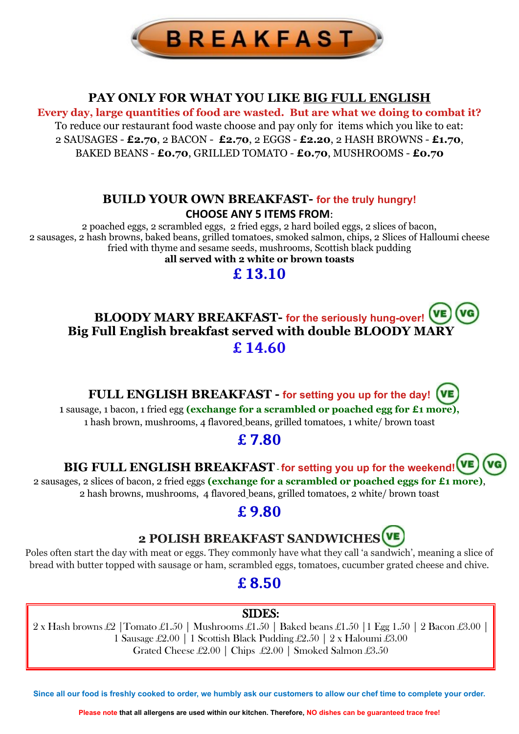

#### **PAY ONLY FOR WHAT YOU LIKE BIG FULL ENGLISH**

**Every day, large quantities of food are wasted. But are what we doing to combat it?** To reduce our restaurant food waste choose and pay only for items which you like to eat: 2 SAUSAGES - **£2.70**, 2 BACON - **£2.70**, 2 EGGS - **£2.20**, 2 HASH BROWNS - **£1.70**, BAKED BEANS - **£0.70**, GRILLED TOMATO - **£0.70**, MUSHROOMS - **£0.70**

#### **BUILD YOUR OWN BREAKFAST- for the truly hungry! CHOOSE ANY 5 ITEMS FROM**:

2 poached eggs, 2 scrambled eggs, 2 fried eggs, 2 hard boiled eggs, 2 slices of bacon, 2 sausages, 2 hash browns, baked beans, grilled tomatoes, smoked salmon, chips, 2 Slices of Halloumi cheese fried with thyme and sesame seeds, mushrooms, Scottish black pudding **all served with 2 white or brown toasts**

**£ 13.10**

#### **BLOODY MARY BREAKFAST- for the seriously hung-over! Big Full English breakfast served with double BLOODY MARY £ 14.60**

**FULL ENGLISH BREAKFAST - for setting you up for the day!**

1 sausage, 1 bacon, 1 fried egg **(exchange for a scrambled or poached egg for £1 more),** 1 hash brown, mushrooms, 4 flavored beans, grilled tomatoes, 1 white/ brown toast

#### **£ 7.80**

**BIG FULL ENGLISH BREAKFAST - for setting you up for the weekend!**

2 sausages, 2 slices of bacon, 2 fried eggs **(exchange for a scrambled or poached eggs for £1 more)**, 2 hash browns, mushrooms, 4 flavored beans, grilled tomatoes, 2 white/ brown toast

#### **£ 9.80**



Poles often start the day with meat or eggs. They commonly have what they call 'a sandwich', meaning a slice of bread with butter topped with sausage or ham, scrambled eggs, tomatoes, cucumber grated cheese and chive.

### **£ 8.50**

#### SIDES:

2 x Hash browns £2 |Tomato £1.50 | Mushrooms £1.50 | Baked beans £1.50 |1 Egg 1.50 | 2 Bacon £3.00 | 1 Sausage £2.00 | 1 Scottish Black Pudding £2.50 | 2 x Haloumi £3.00 Grated Cheese £2.00 | Chips £2.00 | Smoked Salmon £3.50

**Since all our food is freshly cooked to order, we humbly ask our customers to allow our chef time to complete your order.** 

**Please note that all allergens are used within our kitchen. Therefore, NO dishes can be guaranteed trace free!**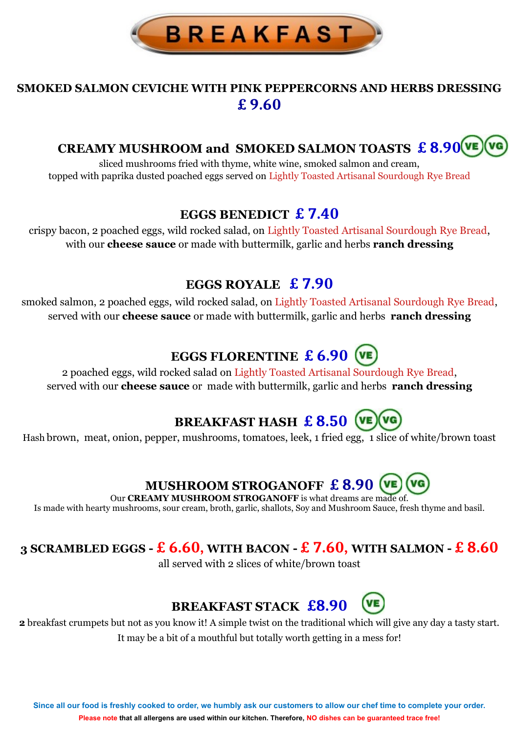

#### **SMOKED SALMON CEVICHE WITH PINK PEPPERCORNS AND HERBS DRESSING £ 9.60**

#### **CREAMY MUSHROOM and SMOKED SALMON TOASTS £ 8.90**

sliced mushrooms fried with thyme, white wine, smoked salmon and cream, topped with paprika dusted poached eggs served on Lightly Toasted Artisanal Sourdough Rye Bread

#### **EGGS BENEDICT £ 7.40**

crispy bacon, 2 poached eggs, wild rocked salad, on Lightly Toasted Artisanal Sourdough Rye Bread, with our **cheese sauce** or made with buttermilk, garlic and herbs **ranch dressing** 

#### **EGGS ROYALE £ 7.90**

smoked salmon, 2 poached eggs, wild rocked salad, on Lightly Toasted Artisanal Sourdough Rye Bread, served with our **cheese sauce** or made with buttermilk, garlic and herbs **ranch dressing** 

### **EGGS FLORENTINE £ 6.90**

2 poached eggs, wild rocked salad on Lightly Toasted Artisanal Sourdough Rye Bread, served with our **cheese sauce** or made with buttermilk, garlic and herbs **ranch dressing** 

## **BREAKFAST HASH £ 8.50**

Hash brown, meat, onion, pepper, mushrooms, tomatoes, leek, 1 fried egg, 1 slice of white/brown toast

## **MUSHROOM STROGANOFF £ 8.90**

Our **CREAMY MUSHROOM STROGANOFF** is what dreams are made of. Is made with hearty mushrooms, sour cream, broth, garlic, shallots, Soy and Mushroom Sauce, fresh thyme and basil.

#### **3 SCRAMBLED EGGS - £ 6.60, WITH BACON - £ 7.60, WITH SALMON - £ 8.60**

all served with 2 slices of white/brown toast

#### **BREAKFAST STACK £8.90**

**2** breakfast crumpets but not as you know it! A simple twist on the traditional which will give any day a tasty start. It may be a bit of a mouthful but totally worth getting in a mess for!

**Since all our food is freshly cooked to order, we humbly ask our customers to allow our chef time to complete your order. Please note that all allergens are used within our kitchen. Therefore, NO dishes can be guaranteed trace free!**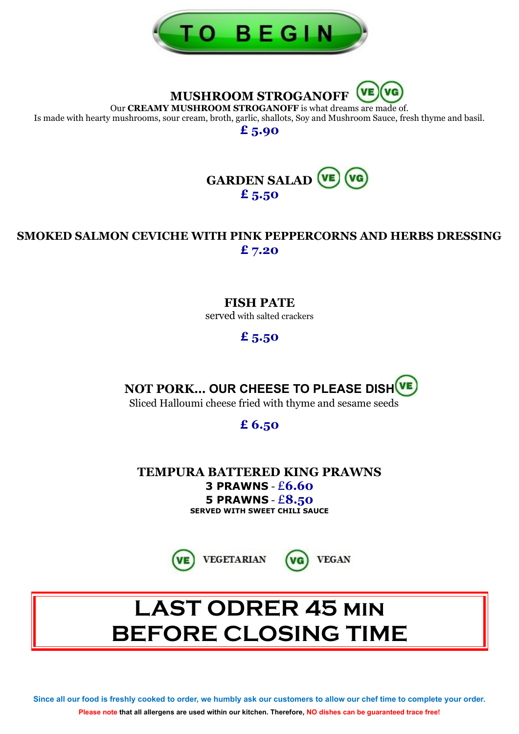

**MUSHROOM STROGANOFF**

Our **CREAMY MUSHROOM STROGANOFF** is what dreams are made of. Is made with hearty mushrooms, sour cream, broth, garlic, shallots, Soy and Mushroom Sauce, fresh thyme and basil.

**£ 5.90**



#### **SMOKED SALMON CEVICHE WITH PINK PEPPERCORNS AND HERBS DRESSING £ 7.20**

#### **FISH PATE**

served with salted crackers

#### **£ 5.50**

**NOT PORK… OUR CHEESE TO PLEASE DISH**

Sliced Halloumi cheese fried with thyme and sesame seeds

#### **£ 6.50**

**TEMPURA BATTERED KING PRAWNS 3 PRAWNS** - £**6.60 5 PRAWNS** - £**8.50 SERVED WITH SWEET CHILI SAUCE**





**VEGAN** 

**Since all our food is freshly cooked to order, we humbly ask our customers to allow our chef time to complete your order. Please note that all allergens are used within our kitchen. Therefore, NO dishes can be guaranteed trace free!**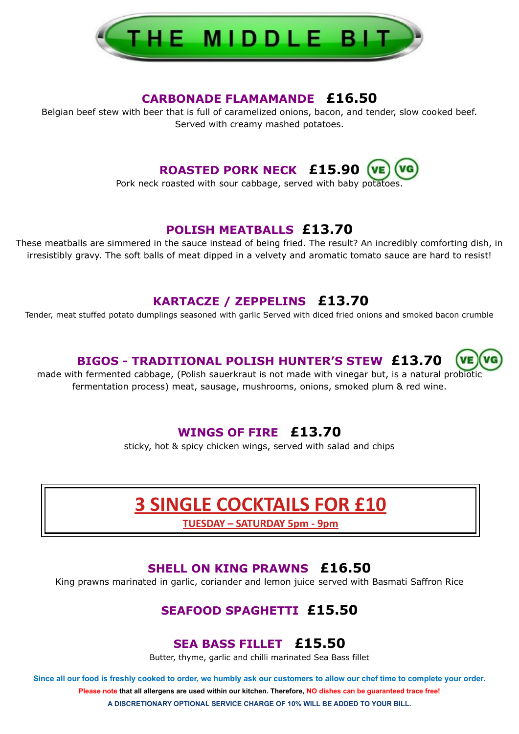

#### **CARBONADE FLAMAMANDE £16.50**

Belgian beef stew with beer that is full of caramelized onions, bacon, and tender, slow cooked beef. Served with creamy mashed potatoes.

**ROASTED PORK NECK £15.90**

Pork neck roasted with sour cabbage, served with baby potatoes.

#### **POLISH MEATBALLS £13.70**

These meatballs are simmered in the sauce instead of being fried. The result? An incredibly comforting dish, in irresistibly gravy. The soft balls of meat dipped in a velvety and aromatic tomato sauce are hard to resist!

#### **KARTACZE / ZEPPELINS £13.70**

Tender, meat stuffed potato dumplings seasoned with garlic Served with diced fried onions and smoked bacon crumble

#### **BIGOS - TRADITIONAL POLISH HUNTER'S STEW £13.70**

made with fermented cabbage, (Polish sauerkraut is not made with vinegar but, is a natural probiotic fermentation process) meat, sausage, mushrooms, onions, smoked plum & red wine.

#### **WINGS OF FIRE £13.70**

sticky, hot & spicy chicken wings, served with salad and chips

## **3 SINGLE COCKTAILS FOR £10**

**TUESDAY – SATURDAY 5pm - 9pm**

#### **SHELL ON KING PRAWNS £16.50**

King prawns marinated in garlic, coriander and lemon juice served with Basmati Saffron Rice

#### **SEAFOOD SPAGHETTI £15.50**

#### **SEA BASS FILLET £15.50**

Butter, thyme, garlic and chilli marinated Sea Bass fillet

**Since all our food is freshly cooked to order, we humbly ask our customers to allow our chef time to complete your order. Please note that all allergens are used within our kitchen. Therefore, NO dishes can be guaranteed trace free! A DISCRETIONARY OPTIONAL SERVICE CHARGE OF 10% WILL BE ADDED TO YOUR BILL.**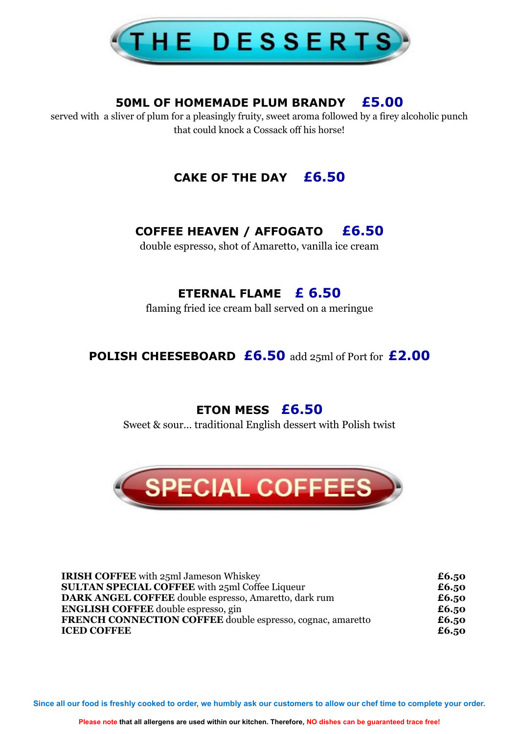

#### **50ML OF HOMEMADE PLUM BRANDY £5.00**

served with a sliver of plum for a pleasingly fruity, sweet aroma followed by a firey alcoholic punch that could knock a Cossack off his horse!

#### **CAKE OF THE DAY £6.50**

#### **COFFEE HEAVEN / AFFOGATO £6.50**

double espresso, shot of Amaretto, vanilla ice cream

#### **ETERNAL FLAME £ 6.50**

flaming fried ice cream ball served on a meringue

**POLISH CHEESEBOARD £6.50** add 25ml of Port for **£2.00**

#### **ETON MESS £6.50**

Sweet & sour… traditional English dessert with Polish twist



| <b>IRISH COFFEE</b> with 25ml Jameson Whiskey                     | £6.50 |
|-------------------------------------------------------------------|-------|
| <b>SULTAN SPECIAL COFFEE with 25ml Coffee Liqueur</b>             | £6.50 |
| DARK ANGEL COFFEE double espresso, Amaretto, dark rum             | £6.50 |
| <b>ENGLISH COFFEE</b> double espresso, gin                        | £6.50 |
| <b>FRENCH CONNECTION COFFEE double espresso, cognac, amaretto</b> | £6.50 |
| <b>ICED COFFEE</b>                                                | £6.50 |

**Since all our food is freshly cooked to order, we humbly ask our customers to allow our chef time to complete your order.**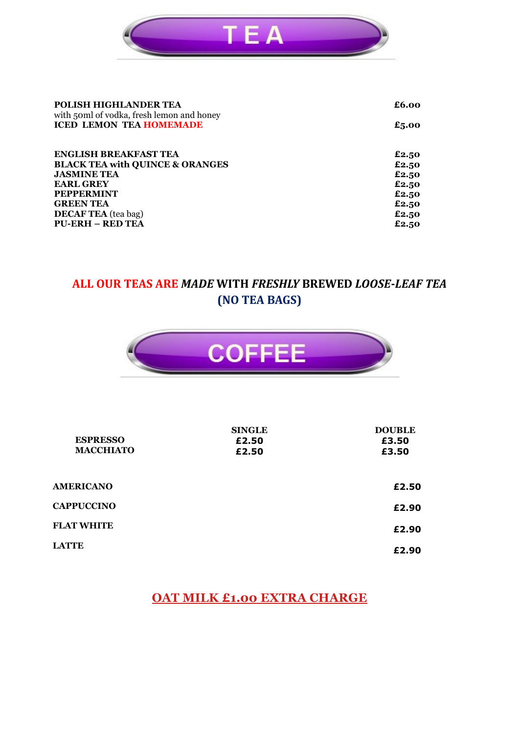

| POLISH HIGHLANDER TEA<br>with 50ml of vodka, fresh lemon and honey | £6.00 |
|--------------------------------------------------------------------|-------|
| <b>ICED LEMON TEA HOMEMADE</b>                                     | £5.00 |
| <b>ENGLISH BREAKFAST TEA</b>                                       | £2.50 |
| <b>BLACK TEA with QUINCE &amp; ORANGES</b>                         | £2.50 |
| <b>JASMINE TEA</b>                                                 | £2.50 |
| <b>EARL GREY</b>                                                   | £2.50 |
| <b>PEPPERMINT</b>                                                  | £2.50 |
| <b>GREEN TEA</b>                                                   | £2.50 |
| <b>DECAF TEA</b> (tea bag)                                         | £2.50 |
| <b>PU-ERH – RED TEA</b>                                            | £2.50 |

#### **ALL OUR TEAS ARE** *MADE* **WITH** *FRESHLY* **BREWED** *LOOSE***-***LEAF TEA* **(NO TEA BAGS)**



| <b>ESPRESSO</b><br><b>MACCHIATO</b> | <b>SINGLE</b><br>£2.50<br>£2.50 | <b>DOUBLE</b><br>£3.50<br>£3.50 |
|-------------------------------------|---------------------------------|---------------------------------|
| <b>AMERICANO</b>                    |                                 | £2.50                           |
| <b>CAPPUCCINO</b>                   |                                 | £2.90                           |
| <b>FLAT WHITE</b>                   |                                 | £2.90                           |
| <b>LATTE</b>                        |                                 | £2.90                           |

#### **OAT MILK £1.00 EXTRA CHARGE**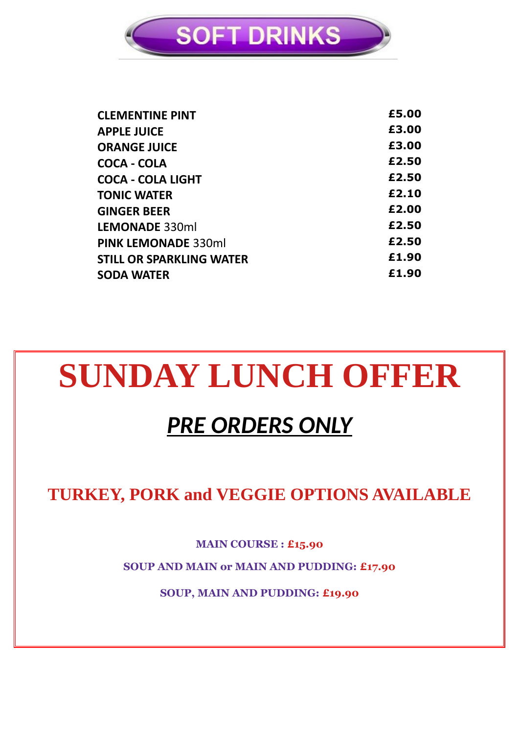

| <b>CLEMENTINE PINT</b>          | £5.00 |
|---------------------------------|-------|
| <b>APPLE JUICE</b>              | £3.00 |
| <b>ORANGE JUICE</b>             | £3.00 |
| COCA - COLA                     | £2.50 |
| <b>COCA - COLA LIGHT</b>        | £2.50 |
| <b>TONIC WATER</b>              | £2.10 |
| <b>GINGER BEER</b>              | £2.00 |
| LEMONADE 330ml                  | £2.50 |
| <b>PINK LEMONADE 330ml</b>      | £2.50 |
| <b>STILL OR SPARKLING WATER</b> | £1.90 |
| <b>SODA WATER</b>               | £1.90 |
|                                 |       |

## **SUNDAY LUNCH OFFER**

## *PRE ORDERS ONLY*

**TURKEY, PORK and VEGGIE OPTIONS AVAILABLE**

**MAIN COURSE : £15.90** 

**SOUP AND MAIN or MAIN AND PUDDING: £17.90**

**SOUP, MAIN AND PUDDING: £19.90**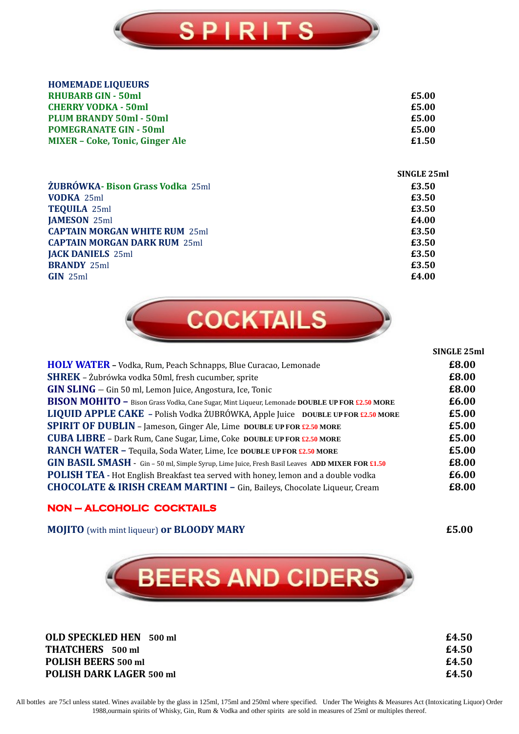

| <b>HOMEMADE LIQUEURS</b>                |             |
|-----------------------------------------|-------------|
| <b>RHUBARB GIN - 50ml</b>               | £5.00       |
| <b>CHERRY VODKA - 50ml</b>              | £5.00       |
| <b>PLUM BRANDY 50ml - 50ml</b>          | £5.00       |
| <b>POMEGRANATE GIN - 50ml</b>           | £5.00       |
| <b>MIXER - Coke, Tonic, Ginger Ale</b>  | £1.50       |
|                                         | SINGLE 25ml |
| <b>ŻUBRÓWKA- Bison Grass Vodka 25ml</b> | £3.50       |
| <b>VODKA 25ml</b>                       | £3.50       |
| <b>TEQUILA 25ml</b>                     | £3.50       |
| <b>JAMESON 25ml</b>                     | £4.00       |
| <b>CAPTAIN MORGAN WHITE RUM 25ml</b>    | £3.50       |
| <b>CAPTAIN MORGAN DARK RUM 25ml</b>     | £3.50       |
| <b>JACK DANIELS</b> 25ml                | £3.50       |
| <b>BRANDY 25ml</b>                      | £3.50       |
| $GIN$ 25ml                              | £4.00       |



| <b>HOLY WATER - Vodka, Rum, Peach Schnapps, Blue Curacao, Lemonade</b>                          | £8.00 |
|-------------------------------------------------------------------------------------------------|-------|
| <b>SHREK</b> - Żubrówka vodka 50ml, fresh cucumber, sprite                                      | £8.00 |
| GIN SLING - Gin 50 ml, Lemon Juice, Angostura, Ice, Tonic                                       | £8.00 |
| BISON MOHITO - Bison Grass Vodka, Cane Sugar, Mint Liqueur, Lemonade DOUBLE UP FOR £2.50 MORE   | £6.00 |
| LIQUID APPLE CAKE - Polish Vodka ŻUBRÓWKA, Apple Juice DOUBLE UP FOR £2.50 MORE                 | £5.00 |
| <b>SPIRIT OF DUBLIN</b> - Jameson, Ginger Ale, Lime DOUBLE UP FOR £2.50 MORE                    | £5.00 |
| <b>CUBA LIBRE</b> - Dark Rum, Cane Sugar, Lime, Coke DOUBLE UP FOR £2.50 MORE                   | £5.00 |
| RANCH WATER - Tequila, Soda Water, Lime, Ice DOUBLE UP FOR £2.50 MORE                           | £5.00 |
| GIN BASIL SMASH - Gin - 50 ml, Simple Syrup, Lime Juice, Fresh Basil Leaves ADD MIXER FOR £1.50 | £8.00 |
| <b>POLISH TEA</b> - Hot English Breakfast tea served with honey, lemon and a double vodka       | £6.00 |
| CHOCOLATE & IRISH CREAM MARTINI - Gin, Baileys, Chocolate Liqueur, Cream                        | £8.00 |
|                                                                                                 |       |

#### **NON – ALCOHOLIC COCKTAILS**

**MOJITO** (with mint liqueur) **or BLOODY MARY £5.00**



**OLD SPECKLED HEN 500 ml £4.50 THATCHERS 500 ml £4.50 POLISH BEERS 500 ml £4.50 POLISH DARK LAGER 500 ml £4.50**

**SINGLE 25ml**

All bottles are 75cl unless stated. Wines available by the glass in 125ml, 175ml and 250ml where specified. Under The Weights & Measures Act (Intoxicating Liquor) Order 1988,ourmain spirits of Whisky, Gin, Rum & Vodka and other spirits are sold in measures of 25ml or multiples thereof.